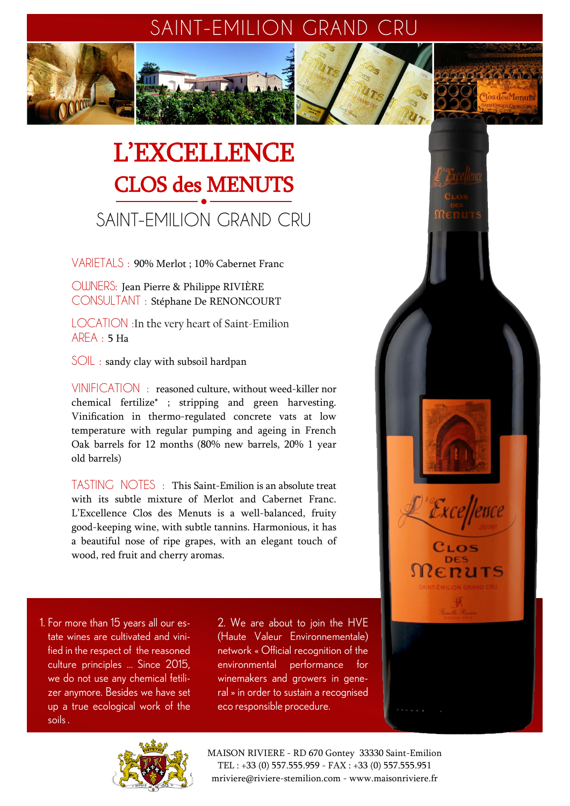# SAINT-EMILION GRAND CRU

Clare la la la la la

Excellence

EDUTS

CLOS

**Plos des Menute** 



# SAINT-EMILION GRAND CRU

VARIETALS : 90% Merlot ; 10% Cabernet Franc

OWNERS: Jean Pierre & Philippe RIVIÈRE CONSULTANT : Stéphane De RENONCOURT

LOCATION :In the very heart of Saint-Emilion AREA : 5 Ha

SOIL : sandy clay with subsoil hardpan

VINIFICATION : reasoned culture, without weed-killer nor chemical fertilize\* ; stripping and green harvesting. Vinification in thermo-regulated concrete vats at low temperature with regular pumping and ageing in French Oak barrels for 12 months (80% new barrels, 20% 1 year old barrels)

TASTING NOTES : This Saint-Emilion is an absolute treat with its subtle mixture of Merlot and Cabernet Franc. L'Excellence Clos des Menuts is a well-balanced, fruity good-keeping wine, with subtle tannins. Harmonious, it has a beautiful nose of ripe grapes, with an elegant touch of wood, red fruit and cherry aromas.

1. For more than 15 years all our estate wines are cultivated and vinified in the respect of the reasoned culture principles ... Since 2015, we do not use any chemical fetilizer anymore. Besides we have set up a true ecological work of the soils.

2. We are about to join the HVE (Haute Valeur Environnementale) network « Official recognition of the environmental performance for winemakers and growers in general » in order to sustain a recognised eco responsible procedure.



MAISON RIVIERE - RD 670 Gontey 33330 Saint-Emilion TEL : +33 (0) 557.555.959 - FAX : +33 (0) 557.555.951 mriviere@riviere-stemilion.com - www.maisonriviere.fr